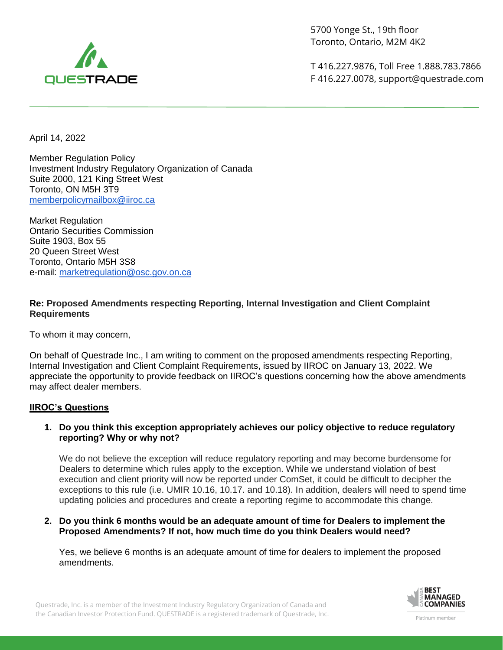

5700 Yonge St., 19th floor Toronto, Ontario, M2M 4K2

T 416.227.9876, Toll Free 1.888.783.7866 F 416.227.0078, support@questrade.com

April 14, 2022

Member Regulation Policy Investment Industry Regulatory Organization of Canada Suite 2000, 121 King Street West Toronto, ON M5H 3T9 [memberpolicymailbox@iiroc.ca](mailto:memberpolicymailbox@iiroc.ca)

Market Regulation Ontario Securities Commission Suite 1903, Box 55 20 Queen Street West Toronto, Ontario M5H 3S8 e-mail: [marketregulation@osc.gov.on.ca](mailto:marketregulation@osc.gov.on.ca)

# **Re: Proposed Amendments respecting Reporting, Internal Investigation and Client Complaint Requirements**

To whom it may concern,

On behalf of Questrade Inc., I am writing to comment on the proposed amendments respecting Reporting, Internal Investigation and Client Complaint Requirements, issued by IIROC on January 13, 2022. We appreciate the opportunity to provide feedback on IIROC's questions concerning how the above amendments may affect dealer members.

## **IIROC's Questions**

#### **1. Do you think this exception appropriately achieves our policy objective to reduce regulatory reporting? Why or why not?**

We do not believe the exception will reduce regulatory reporting and may become burdensome for Dealers to determine which rules apply to the exception. While we understand violation of best execution and client priority will now be reported under ComSet, it could be difficult to decipher the exceptions to this rule (i.e. UMIR 10.16, 10.17. and 10.18). In addition, dealers will need to spend time updating policies and procedures and create a reporting regime to accommodate this change.

#### **2. Do you think 6 months would be an adequate amount of time for Dealers to implement the Proposed Amendments? If not, how much time do you think Dealers would need?**

Yes, we believe 6 months is an adequate amount of time for dealers to implement the proposed amendments.



Questrade, Inc. is a member of the Investment Industry Regulatory Organization of Canada and the Canadian Investor Protection Fund. QUESTRADE is a registered trademark of Questrade, Inc.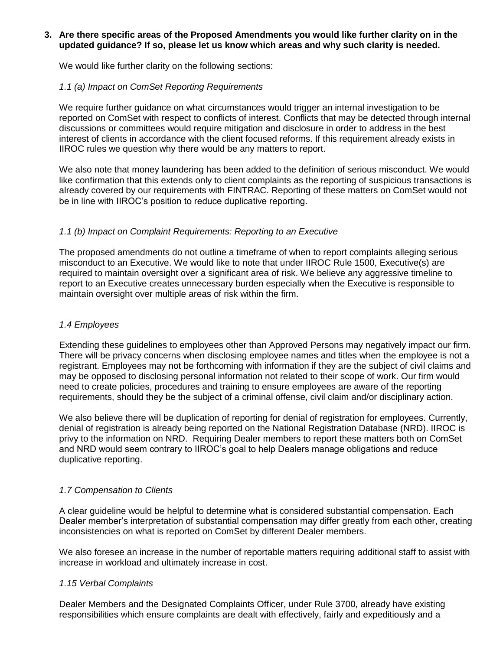### **3. Are there specific areas of the Proposed Amendments you would like further clarity on in the updated guidance? If so, please let us know which areas and why such clarity is needed.**

We would like further clarity on the following sections:

# *1.1 (a) Impact on ComSet Reporting Requirements*

We require further guidance on what circumstances would trigger an internal investigation to be reported on ComSet with respect to conflicts of interest. Conflicts that may be detected through internal discussions or committees would require mitigation and disclosure in order to address in the best interest of clients in accordance with the client focused reforms. If this requirement already exists in IIROC rules we question why there would be any matters to report.

We also note that money laundering has been added to the definition of serious misconduct. We would like confirmation that this extends only to client complaints as the reporting of suspicious transactions is already covered by our requirements with FINTRAC. Reporting of these matters on ComSet would not be in line with IIROC's position to reduce duplicative reporting.

# *1.1 (b) Impact on Complaint Requirements: Reporting to an Executive*

The proposed amendments do not outline a timeframe of when to report complaints alleging serious misconduct to an Executive. We would like to note that under IIROC Rule 1500, Executive(s) are required to maintain oversight over a significant area of risk. We believe any aggressive timeline to report to an Executive creates unnecessary burden especially when the Executive is responsible to maintain oversight over multiple areas of risk within the firm.

# *1.4 Employees*

Extending these guidelines to employees other than Approved Persons may negatively impact our firm. There will be privacy concerns when disclosing employee names and titles when the employee is not a registrant. Employees may not be forthcoming with information if they are the subject of civil claims and may be opposed to disclosing personal information not related to their scope of work. Our firm would need to create policies, procedures and training to ensure employees are aware of the reporting requirements, should they be the subject of a criminal offense, civil claim and/or disciplinary action.

We also believe there will be duplication of reporting for denial of registration for employees. Currently, denial of registration is already being reported on the National Registration Database (NRD). IIROC is privy to the information on NRD. Requiring Dealer members to report these matters both on ComSet and NRD would seem contrary to IIROC's goal to help Dealers manage obligations and reduce duplicative reporting.

## *1.7 Compensation to Clients*

A clear guideline would be helpful to determine what is considered substantial compensation. Each Dealer member's interpretation of substantial compensation may differ greatly from each other, creating inconsistencies on what is reported on ComSet by different Dealer members.

We also foresee an increase in the number of reportable matters requiring additional staff to assist with increase in workload and ultimately increase in cost.

## *1.15 Verbal Complaints*

Dealer Members and the Designated Complaints Officer, under Rule 3700, already have existing responsibilities which ensure complaints are dealt with effectively, fairly and expeditiously and a